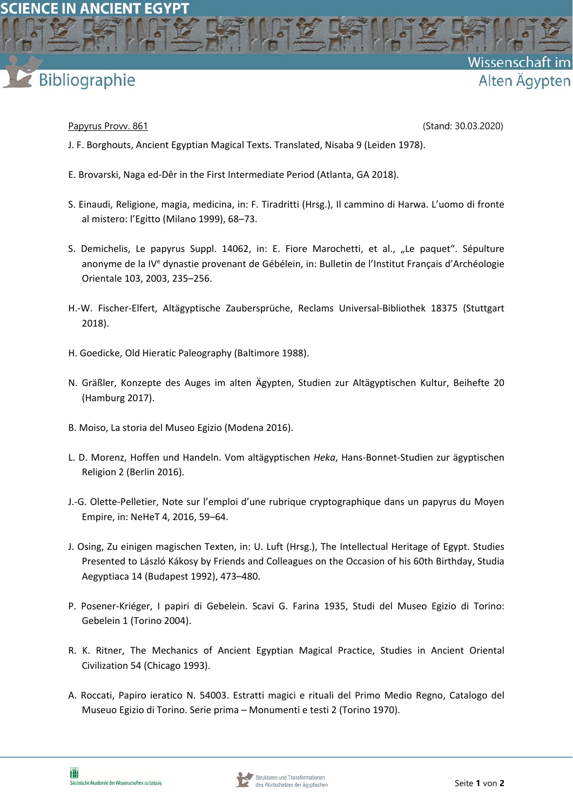

**SCIENCE IN ANCIENT EGYPT** 

Papyrus Provv. 861 (Stand: 30.03.2020)

Wissenschaft

Alten Ägypten

- J. F. Borghouts, Ancient Egyptian Magical Texts. Translated, Nisaba 9 (Leiden 1978).
- E. Brovarski, Naga ed‐Dêr in the First Intermediate Period (Atlanta, GA 2018).
- S. Einaudi, Religione, magia, medicina, in: F. Tiradritti (Hrsg.), Il cammino di Harwa. L'uomo di fronte al mistero: l'Egitto (Milano 1999), 68–73.
- S. Demichelis, Le papyrus Suppl. 14062, in: E. Fiore Marochetti, et al., "Le paquet". Sépulture anonyme de la IV<sup>e</sup> dynastie provenant de Gébélein, in: Bulletin de l'Institut Français d'Archéologie Orientale 103, 2003, 235–256.
- H.‐W. Fischer‐Elfert, Altägyptische Zaubersprüche, Reclams Universal‐Bibliothek 18375 (Stuttgart 2018).
- H. Goedicke, Old Hieratic Paleography (Baltimore 1988).
- N. Gräßler, Konzepte des Auges im alten Ägypten, Studien zur Altägyptischen Kultur, Beihefte 20 (Hamburg 2017).
- B. Moiso, La storia del Museo Egizio (Modena 2016).
- L. D. Morenz, Hoffen und Handeln. Vom altägyptischen *Heka*, Hans‐Bonnet‐Studien zur ägyptischen Religion 2 (Berlin 2016).
- J.‐G. Olette‐Pelletier, Note sur l'emploi d'une rubrique cryptographique dans un papyrus du Moyen Empire, in: NeHeT 4, 2016, 59–64.
- J. Osing, Zu einigen magischen Texten, in: U. Luft (Hrsg.), The Intellectual Heritage of Egypt. Studies Presented to László Kákosy by Friends and Colleagues on the Occasion of his 60th Birthday, Studia Aegyptiaca 14 (Budapest 1992), 473–480.
- P. Posener‐Kriéger, I papiri di Gebelein. Scavi G. Farina 1935, Studi del Museo Egizio di Torino: Gebelein 1 (Torino 2004).
- R. K. Ritner, The Mechanics of Ancient Egyptian Magical Practice, Studies in Ancient Oriental Civilization 54 (Chicago 1993).
- A. Roccati, Papiro ieratico N. 54003. Estratti magici e rituali del Primo Medio Regno, Catalogo del Museuo Egizio di Torino. Serie prima – Monumenti e testi 2 (Torino 1970).